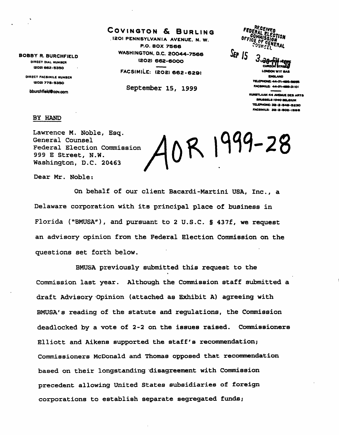BOBBY R. BURCHFIELD DIRECT DIAL NUMBER (2O2I 662-533O

> DIRECT FACSIMILE NUMBER »2O2) 778-S3SO

bburchfield@cov.com

# COVINGTON & BURLING

.1201 PENNSYLVANIA AVENUE. N. W. P.O. BOX 7566 WASHINGTON, D.C. 2OO44-7566 (2O2) 662-60OO

FACSIMILE: (208)662-6291

September 15, 1999

**RECEIVED** FEDERA COMMISSION<br>COMMISSION LEOTION ÔГг **ENERAL**  $S_{EP}$  15 LONDON WIY 8A8

CNOLAND TELEPHONE: 44-171-489.9699 FACSIMILE: 44-171-409-3101

MUNSTLAAM 44 AVENUE DCS ARTS BRUSSELS 1040 BELGIUM TELEPHONE: 32-2-549-5230 FACSIMILE! 32-2-Boa-mae

## BY HAND

Lawrence M. Noble, Esq. General Counsel Federal Election Commission 999 E Street, N.W. Washington, D.C. 20463

0R 1999-28

Dear Mr. Noble:

On behalf of our client Bacardi-Martini USA, Inc., a Delaware corporation with its principal place of business in Florida ("BMUSA"), and pursuant to 2 U.S.C. § 437f, we request an advisory opinion from the Federal Election Commission on the questions set forth below.

BMUSA previously submitted this request to the Commission last year. Although the Commission staff submitted a draft Advisory Opinion (attached as Exhibit A) agreeing with BMUSA's reading of the statute and regulations, the Commission deadlocked by a vote of 2-2 on the issues raised. Commissioners Elliott and Aikens supported the staff's recommendation; Commissioners McDonald and Thomas opposed that recommendation based on their longstanding disagreement with Commission precedent allowing United States subsidiaries of foreign corporations to establish separate segregated funds;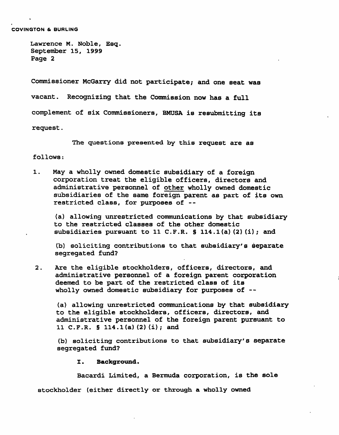Commissioner McGarry did not participate; and one seat was vacant. Recognizing that the Commission now has a full complement of six Commissioners, BMUSA is resubmitting its

request.

The questions presented by this request are as

follows:

1. May a wholly owned domestic subsidiary of a foreign corporation treat the eligible officers, directors and administrative personnel of other wholly owned domestic subsidiaries of the same foreign parent as part of its own restricted class, for purposes of --

(a) allowing unrestricted communications by that subsidiary to the restricted classes of the other domestic subsidiaries pursuant to 11 C.F.R. § 114.1(a)(2)(i); and

(b) soliciting contributions to that subsidiary's separate segregated fund?

2. Are the eligible stockholders, officers, directors, and administrative personnel of a foreign parent corporation deemed to be part of the restricted class of its wholly owned domestic subsidiary for purposes of --

(a) allowing unrestricted communications by that subsidiary to the eligible stockholders, officers, directors, and administrative personnel of the foreign parent pursuant to 11 C.F.R. § 114.l(a)(2)(i); and

(b) soliciting contributions to that subsidiary's separate segregated fund?

I. Background.

Bacardi Limited, a Bermuda corporation, is the sole

stockholder (either directly or through a wholly owned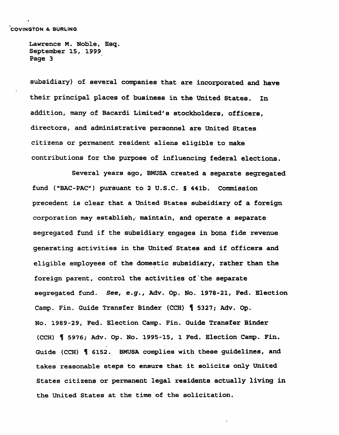subsidiary) of several companies that are incorporated and have their principal places of business in the United States. In addition, many of Bacardi Limited's stockholders, officers, directors, and administrative personnel are United States citizens or permanent resident aliens eligible to make contributions for the purpose of influencing federal elections.

Several years ago, BMUSA created a separate segregated fund ("BAC-PAC") pursuant to 2 U.S.C. § 441b. Commission precedent is clear that a United States subsidiary of a foreign corporation may establish, maintain, and operate a separate segregated fund if the subsidiary engages in bona fide revenue generating activities in the United States and if officers and eligible employees of the domestic subsidiary, rather than the foreign parent, control the activities of'the separate segregated fund. See, e.g., Adv. Op. No. 1978-21, Fed. Election Camp. Fin. Guide Transfer Binder (CCH) H 5327; Adv. Op. No. 1989-29, Fed. Election Camp. Fin. Guide Transfer Binder (CCH) § 5976; Adv. Op. No. 1995-15, 1 Fed. Election Camp. Fin. Guide (CCH) | 6152. BMUSA complies with these guidelines, and takes reasonable steps to ensure that it solicits only United States citizens or permanent legal residents actually living in the United States at the time of the solicitation.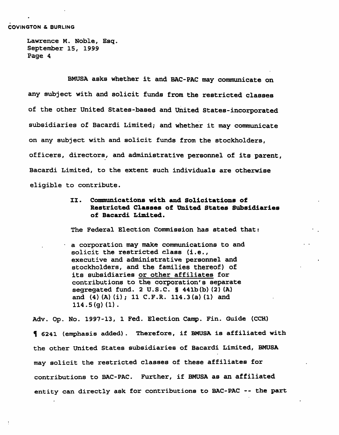### COVINGTON & BURLING

Lawrence M. Noble, Esq. September 15, 1999 Page 4

BMUSA asks whether it and BAC-PAC may communicate on any subject with and solicit funds from the restricted classes of the other United States-based and United States-incorporated subsidiaries of Bacardi Limited; and whether it may communicate on any subject with and solicit funds from the stockholders, officers, directors, and administrative personnel of its parent, Bacardi Limited, to the extent such individuals are otherwise eligible to contribute.

> II. Communications with and Solicitations of Restricted Classes of United States Subsidiaries of Bacardi Limited.

The Federal Election Commission has stated that:

a corporation may make communications to and solicit the restricted class (i.e., executive and administrative personnel and stockholders, and the families thereof) of its subsidiaries or other affiliates for contributions to the corporation's separate segregated fund. 2 U.S.C. § 441b(b)(2)(A) and (4)(A)(i); 11 C.F.R. 114.3(a)(1) and 114.5(g) (1) .

Adv. Op. No. 1997-13, 1 Fed. Election Camp. Fin. Guide (CCH) K 6241 (emphasis added). Therefore, if BMUSA is affiliated with the other United States subsidiaries of Bacardi Limited, BMUSA may solicit the restricted classes of these affiliates for contributions to BAC-PAC. Further, if BMUSA as an affiliated entity can directly ask for contributions to BAC-PAC -- the part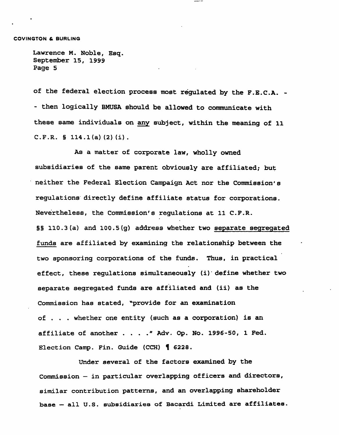of the federal election process most regulated by the F.E.C.A. - - then logically BMUSA should be allowed to communicate with these same individuals on any subject, within the meaning of 11 C.F.R. § 114.1(a)(2)(i).

As a matter of corporate law, wholly owned subsidiaries of the same parent obviously are affiliated; but neither the Federal Election Campaign Act nor the Commission's regulations directly define affiliate status for corporations. Nevertheless, the Commission's regulations at 11 C.F.R. §§ 110.3(a) and 100.5 (g) address whether two separate segregated funds are affiliated by examining the relationship between the two sponsoring corporations of the funds. Thus, in practical effect, these regulations simultaneously (i) define whether two separate segregated funds are affiliated and (ii) as the Commission has stated, "provide for an examination of ... whether one entity (such as a corporation) is an affiliate of another . . . ." Adv. Op. No. 1996-50, 1 Fed. Election Camp. Fin. Guide (CCH)  $\parallel$  6228.

Under several of the factors examined by the Commission — in particular overlapping officers and directors, similar contribution patterns, and an overlapping shareholder base — all U.S. subsidiaries of Bacardi Limited are affiliates.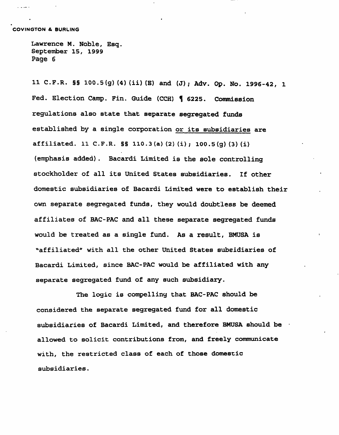والمدادات

Lawrence M. Noble, Esg, September 15, 1999 Page 6

11 C.F.R. §§ 100.5(g)(4)(ii)(E) and (J); Adv. Op. No. 1996-42, 1 Fed. Election Camp. Fin. Guide (CCH) | 6225. Commission regulations also state that separate segregated funds established by a single corporation or its subsidiaries are affiliated. 11 C.F.R. §§ 110.3(a)(2)(i); 100.5(g)(3)(i) (emphasis added). Bacardi Limited is the sole controlling stockholder of all its United States subsidiaries. If other domestic subsidiaries of Bacardi Limited were to establish their own separate segregated funds, they would doubtless be deemed affiliates of BAC-PAC and all these separate segregated funds would be treated as a single fund. As a result, BMUSA is "affiliated" with all the other United States subsidiaries of Bacardi Limited, since BAC-PAC would be affiliated with any separate segregated fund of any such subsidiary.

The logic is compelling that BAC-PAC should be considered the separate segregated fund for all domestic subsidiaries of Bacardi Limited, and therefore BMUSA should be  $\pm$ allowed to solicit contributions from, and freely communicate with, the restricted class of each of those domestic subsidiaries.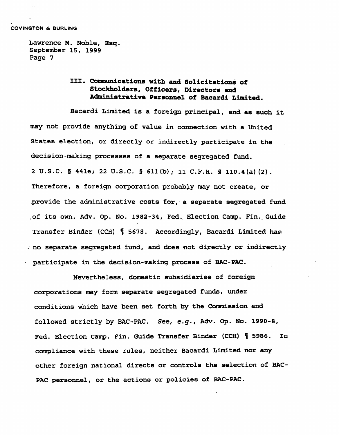COVINGTON & BURLING

Lawrence M. Noble, Esq. September 15, 1999 Page 7

# III. Communications with and Solicitations of Stockholders, Officers, Directors and Administrative Personnel of Bacardi Limited.

Bacardi Limited is a foreign principal, and as such it may not provide anything of value in connection with a United States election, or directly or indirectly participate in the decision-making processes of a separate segregated fund. 2 U.S.C. § 441e; 22 U.S.C. § 611(b); 11 C.F.R. § 110.4(a)(2). Therefore, a foreign corporation probably may not create, or .provide the administrative costs for, a separate segregated fund of its own. Adv. Op. No. 1982-34, Fed. Election Camp. Fin. Guide Transfer Binder (CCH) H 5678. Accordingly, Bacardi Limited has . no separate segregated fund, and does not directly or indirectly participate in the decision-making process of BAC-PAC.

Nevertheless, domestic subsidiaries of foreign corporations may form separate segregated funds, under conditions which have been set forth by the Commission and followed strictly by BAC-PAC. See, e.g., Adv. Op. No. 1990-8, Fed. Election Camp. Fin. Guide Transfer Binder (CCH) H 5986. In compliance with these rules, neither Bacardi Limited nor any other foreign national directs or controls the selection of BAC-PAC personnel, or the actions or policies of BAC-PAC.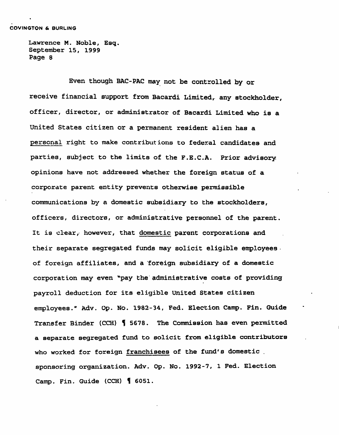Even though BAC-PAC may not be controlled by or receive financial support from Bacardi Limited, any stockholder, officer, director, or administrator of Bacardi Limited who is a United States citizen or a permanent resident alien has a personal right to make contributions to federal candidates and parties, subject to the limits of the F.E.C.A. Prior advisory opinions have not addressed whether the foreign status of a corporate parent entity prevents otherwise permissible communications by a domestic subsidiary to the stockholders, officers, directors, or administrative personnel of the parent. It is clear, however, that domestic parent corporations and their separate segregated funds may solicit eligible employees of foreign affiliates, and a foreign subsidiary of a domestic corporation may even \*pay the administrative costs of providing payroll deduction for its eligible United States citizen employees." Adv. Op. No. 1982-34, Fed. Election Camp. Fin. Guide Transfer Binder (CCH) 1 5678. The Commission has even permitted a separate segregated fund to solicit from eligible contributors who worked for foreign franchisees of the fund's domestic . sponsoring organization. Adv. Op. No. 1992-7, 1 Fed. Election Camp. Fin. Guide (CCH) H 6051.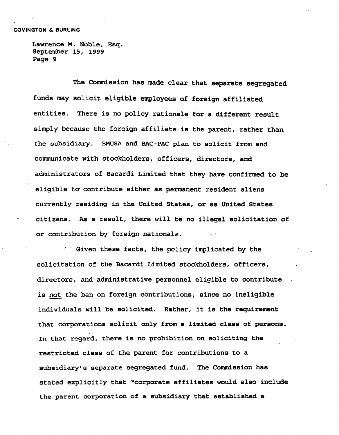The Commission has made clear that separate segregated funds may solicit eligible employees of foreign affiliated entities. There is no policy rationale for a different result simply because the foreign affiliate is the parent, rather than the subsidiary. BMUSA and BAC-PAC plan to solicit from and communicate with stockholders, officers, directors, and administrators of Bacardi Limited that they have confirmed to be eligible to- contribute either as permanent resident aliens currently residing in the United States, or as United States citizens. As a result, there will be no illegal solicitation of or contribution by foreign nationals.

Given these facts, the policy implicated by the solicitation of the Bacardi Limited stockholders, officers, directors, and administrative personnel eligible to contribute is not the ban on foreign contributions, since no ineligible individuals will be solicited. Rather, it is the requirement that corporations solicit only from a limited class of persons. In that regard, there is no prohibition on soliciting the restricted class of the parent for contributions to a subsidiary's separate segregated fund. The Commission has stated explicitly that "corporate affiliates would also include the parent corporation of a subsidiary that established a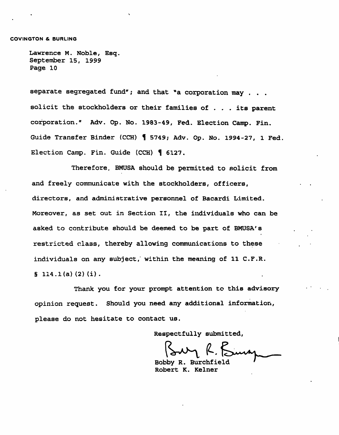separate segregated fund"; and that "a corporation may . . . solicit the stockholders or their families of ... its parent corporation." Adv. Op. No. 1983-49, Fed. Election Camp. Fin. Guide Transfer Binder (CCH) 15749; Adv. Op. No. 1994-27, 1 Fed. Election Camp. Fin. Guide (CCH) H 6127.

Therefore. BMUSA should be permitted to solicit from and freely communicate with the stockholders, officers, directors, and administrative personnel of Bacardi Limited. Moreover, as set out in Section II, the individuals who can be asked to contribute should be deemed to be part of BMUSA's restricted class, thereby allowing communications to these individuals on any subject, within the meaning of 11 C.F.R.  $\S$  114.1(a)(2)(i).

Thank you for your prompt attention to this advisory opinion request. Should you need any additional information, please do not hesitate to contact us.

Respectfully submitted,

Bobby R. Burchfield Robert K. Kelner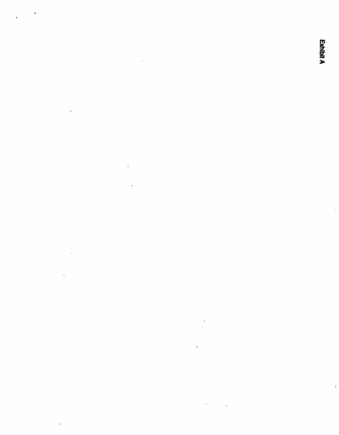Exhibit A

 $\ddot{\phantom{0}}$ 

 $\ddot{\phantom{0}}$ 

 $\mathbf{L}^{\text{max}}$ 

the contract of the contract of the contract of the contract of

 $\mathcal{L}^{\mathcal{L}}(\mathcal{L}^{\mathcal{L}})$  and  $\mathcal{L}^{\mathcal{L}}(\mathcal{L}^{\mathcal{L}})$  and  $\mathcal{L}^{\mathcal{L}}(\mathcal{L}^{\mathcal{L}})$ 

 $\mathcal{L}(\mathcal{L}^{\mathcal{L}})$  and  $\mathcal{L}(\mathcal{L}^{\mathcal{L}})$  and  $\mathcal{L}(\mathcal{L}^{\mathcal{L}})$ 

 $\mathcal{L}^{\text{max}}_{\text{max}}$  ,  $\mathcal{L}^{\text{max}}_{\text{max}}$ 

 $\label{eq:2.1} \mathcal{L}(\mathcal{L}^{\text{max}}_{\mathcal{L}}(\mathcal{L}^{\text{max}}_{\mathcal{L}})) \leq \mathcal{L}(\mathcal{L}^{\text{max}}_{\mathcal{L}}(\mathcal{L}^{\text{max}}_{\mathcal{L}}))$ 

 $\mathcal{L}^{\mathcal{L}}(\mathcal{L}^{\mathcal{L}})$  and  $\mathcal{L}^{\mathcal{L}}(\mathcal{L}^{\mathcal{L}})$  and  $\mathcal{L}^{\mathcal{L}}(\mathcal{L}^{\mathcal{L}})$ 

 $\mathcal{L}^{\mathcal{L}}(\mathcal{L}^{\mathcal{L}})$  and  $\mathcal{L}^{\mathcal{L}}(\mathcal{L}^{\mathcal{L}})$  and  $\mathcal{L}^{\mathcal{L}}(\mathcal{L}^{\mathcal{L}})$ 

 $\mathcal{L}(\mathcal{L})$  and  $\mathcal{L}(\mathcal{L})$  . The set of  $\mathcal{L}(\mathcal{L})$ 

 $\mathcal{L}(\mathcal{L}^{\mathcal{L}})$  and  $\mathcal{L}^{\mathcal{L}}$  and  $\mathcal{L}^{\mathcal{L}}$  and  $\mathcal{L}^{\mathcal{L}}$ 

 $\mathcal{A}^{\mathcal{A}}$  and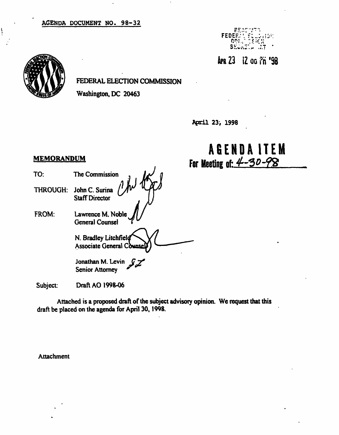## AGENDA DOCUMENT NO. 98-32



APR 23 12 00 Ph '98



FEDERAL ELECTION COMMISSION

Washington, DC 20463

April 23, 1998

# AGEND A ITE M For Meeting of:  $4 - 30 - 98$

## **MEMORANDUM**

THROUGH: John C. Surina Staff Director

TO: The Commission

FROM: Lawrence M. Noble General Counsel

> N. Bradley Litchfiel **Associate General Counse**

Jonathan M. Levin Senior Attorney

Subject: Draft AO 1998-06

Attached is a proposed draft of the subject advisory opinion. We request that this draft be placed on the agenda for April 30,1998.

Attachment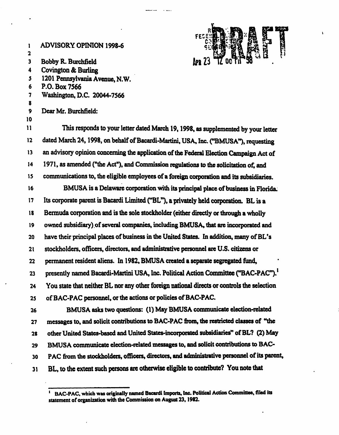I ADVISORY OPINION 1998-6 2 3 Bobby R. Burchfield 4 Covington & Burling 5 1201 Pennsylvania Avenue, N.W. 6 P.O. Box 7566 7 Washington, D.C. 20044-7566 8 9 Dear Mr. Burchfield: 10 I1 This responds to your letter dated March 19,1998, as supplemented by your letter 12 dated March 24,1998, on behalf of Bacardi-Martini, USA, Inc. ("BMUSA"), requesting 13 an advisory opinion concerning the application of the Federal Election Campaign Act of 14 1971, as amended ("the Act"), and Commission regulations to the solicitation of, and 15 communications to, the eligible employees of a foreign corporation and its subsidiaries. 16 BMUSA is a Delaware corporation with its principal place of business in Florida. 17 Its corporate parent is Bacardi Limited ("BL"), a privately held corporation. BL is a 18 Bermuda corporation and is the sole stockholder (either directly or through a wholly 19 owned subsidiary) of several companies, including BMUSA, that are incorporated and 20 have their principal places of business in the United States. In addition, many of BL's 21 stockholders, officers, directors, and administrative personnel are U.S. citizens or 22 permanent resident aliens. In 1982, BMUSA created a separate segregated fund, 23 presently named Bacardi-Martini USA, Inc. Political Action Committee ("BAC-PAC").<sup>1</sup> 24 You state that neither BL nor any other foreign national directs or controls the selection 25 of BAC-PAC personnel, or the actions or policies of BAC-PAC. 26 BMUSA asks two questions: (1) May BMUSA communicate election-related 27 messages to, and solicit contributions to BAC-PAC from, the restricted classes of "the 28 other United States-based and United States-incorporated subsidiaries" of BL? (2) May 29 BMUSA communicate election-related messages to, and solicit contributions to BAC-30 P AC from the stockholders, officers, directors, and administrative personnel of its parent,

31 BL, to the extent such persons are otherwise eligible to contribute? You note that

<sup>.&</sup>lt;br>1 BAC-PAC. which was originally named Bacardi Imports, Inc. Political Action Committee, filed its statement of organization with the Commission on August 23,1982.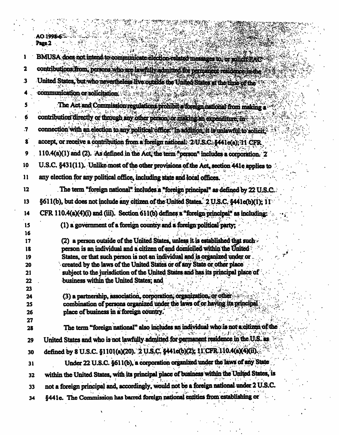|          | AO:1998-6                                                                                                                 |
|----------|---------------------------------------------------------------------------------------------------------------------------|
|          | Page 2                                                                                                                    |
| 1        | BMUSA does not intend to communicate election-related messages to or solicit PAC                                          |
| 2        | contributions from, persons who are lawfully admitted for permanent residence in the                                      |
| 3        | United States, but who nevertheless live outside the United States at the time of the                                     |
|          | communication or solicitation.                                                                                            |
|          | The Act and Commission regulations prohibit a foreign national from making a                                              |
| 6        | contribution directly or through any other person, or making an expenditure, in                                           |
| .7       | connection with an election to any political office. In addition, it is unlawful to solicity                              |
| 8        | accept, or receive a contribution from a foreign national. 2 U.S.C. §441e(a); 11 CFR                                      |
| 9        | 110.4(a)(1) and (2). As defined in the Act, the term "person" includes a corporation. 2                                   |
| 10       |                                                                                                                           |
|          | U.S.C. §431(11). Unlike most of the other provisions of the Act, section 441e applies to                                  |
| 11       | any election for any political office, including state and local offices.                                                 |
| 12       | The term "foreign national" includes a "foreign principal" as defined by 22 U.S.C.                                        |
| 13       | §611(b), but does not include any citizen of the United States. 2 U.S.C. §441e(b)(1); 11                                  |
| 14       | CFR 110.4(a)(4)(i) and (iii). Section 611(b) defines a "foreign principal" as including:                                  |
| 15       | (1) a government of a foreign country and a foreign political party;                                                      |
| 16<br>17 | (2) a person outside of the United States, unless it is established that such                                             |
| 18       | person is an individual and a citizen of and domiciled within the United                                                  |
| 19       | States, or that such person is not an individual and is organized under or                                                |
| 20       | created by the laws of the United States or of any State or other place                                                   |
| 21       | subject to the jurisdiction of the United States and has its principal place of<br>business within the United States; and |
| 22<br>23 |                                                                                                                           |
| 24       | (3) a partnership, association, corporation, organization, or other                                                       |
| 25       | combination of persons organized under the laws of or having its principal                                                |
| 26       | place of business in a foreign country.                                                                                   |
| 27       |                                                                                                                           |
| 28       | The term "foreign national" also includes an individual who is not a citizen of the                                       |
| 29       | United States and who is not lawfully admitted for permanent residence in the U.S. as                                     |
| 30       | defined by 8 U.S.C. §1101(a)(20). 2 U.S.C. §441c(b)(2); 11 CFR 110.4(a)(4)(ii).                                           |
| 31       | Under 22 U.S.C. §611(b), a corporation organized under the laws of any State                                              |
| 32       | within the United States, with its principal place of business within the United States, is                               |
| 33       | not a foreign principal and, accordingly, would not be a foreign national under 2 U.S.C.                                  |
| 34       | §441e. The Commission has barred foreign national entities from establishing or                                           |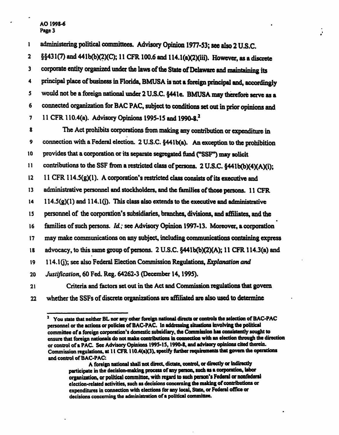### AO 1998-6 Page 3

1 administering political committees. Advisory Opinion 1977-53; see also 2 U.S.C.

2 §§431(7) and 441b(b)(2)(C); 11 CFR100.6 and 114. l(a)(2)(iii). However, as a discrete 3 corporate entity organized under the laws of the State of Delaware and maintaining its 4 principal place of business in Florida, BMUSA is not a foreign principal and, accordingly 5 would not be a foreign national under 2 U.S.C. §441e. BMUSA may therefore serve as a 6 connected organization for BAG PAC, subject to conditions set out in prior opinions and 7 11 CFR 110.4(a). Advisory Opinions 1995-15 and 1990-8.<sup>2</sup>

ë.

8 The Act prohibits corporations from making any contribution or expenditure in 9 connection with a Federal election. 2 U.S.C. §441b(a). An exception to the prohibition 10 provides that a corporation or its separate segregated fund ("SSF") may solicit I1 contributions to the SSF from a restricted class of persons. 2 U.S.C. §441b(b)(4)(A)(i); 12 11 CFR 114.5(g)(l). A corporation's restricted class consists of its executive and 13 administrative personnel and stockholders, and the families of those persons. 11 CFR  $14 \cdot 114.5(g)(1)$  and  $114.1(j)$ . This class also extends to the executive and administrative l 5 personnel of the corporation's subsidiaries, branches, divisions, and affiliates, and the • 16 families of such persons. Id; see Advisory Opinion 1997-13. Moreover, a corporation 17 may make communications on any subject, including communications containing express 18 advocacy, to this same group of persons. 2 U.S.C. §441b(b)(2)(A); 11 CFR 114.3(a) and 19 114.1(i); see also Federal Election Commission Regulations, Explanation and 20 Justification, 60 Fed. Reg. 64262-3 (December 14,1995). 21 Criteria and factors set out in the Act and Commission regulations that govern

22 whether the SSFs of discrete organizations are affiliated are also used to determine

<sup>2</sup> You state that neither BL nor any other foreign national directs or controls the selection of BAC-PAC personnel or the actions or policies of BAC-PAC. In addressing situations involving the political committee of a foreign corporation's domestic subsidiary, the Commission has consistently sought to ensure that foreign nationals do not make contributions in connection with an election through the direction or control of a PAC. See Advisory Opinions 1995-15,1990-8, and advisory opinions cited therein. Commission regulations, at 11 CFR I l0.4(aX3), specify further requirements that govern the operations and control of BAC-PAC:

A foreign national shall not direct, dictate, control, or directly or indirectly participate in the decision-making process of any person, such as a corporation, labor organization, or political committee, with regard to such person's Federal or nonfedenl election-related activities, such as decisions concerning the making of contributions or expenditures in connection with elections for any local. State, or Federal office or decisions concerning the administration of a political committee.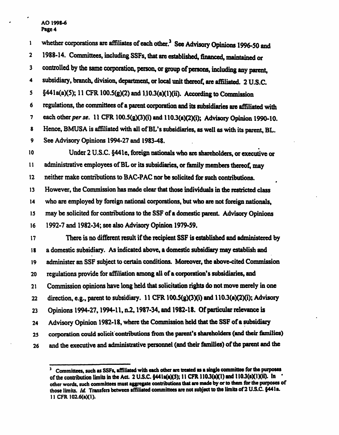#### AO 1998-6 Page 4

<sup>1</sup> whether corporations are affiliates of each other.<sup>3</sup> See Advisory Opinions 1996-50 and 2 1988-14. Committees, including SSFs, that are established, financed, maintained or 3 controlled by the same corporation, person, or group of persons, including any parent, 4 subsidiary, branch, division, department, or local unit thereof, are affiliated. 2 U.S.C. 5  $\S 441a(a)(5)$ ; 11 CFR 100.5(g)(2) and 110.3(a)(1)(ii). According to Commission 6 regulations, the committees of a parent corporation and its subsidiaries are affiliated with 7 each other per se. 11 CFR 100.5(g)(3)(i) and 110.3(a)(2)(i); Advisory Opinion 1990-10. 8 Hence, BMUSA is affiliated with all of BL's subsidiaries, as well as with its parent, BL. 9 See Advisory Opinions 1994-27 and 1983-48. 10 Under 2 U.S.C. §441e, foreign nationals who are shareholders, or executive or 11 administrative employees of BL or its subsidiaries, or family members thereof, may 12 neither make contributions to BAC-PAC nor be solicited for such contributions. 13 However, the Commission has made clear that those individuals in the restricted class 14 who are employed by foreign national corporations, but who are not foreign nationals, 15 may be solicited for contributions to the SSF of a domestic parent. Advisory Opinions 16 1992-7 and 1982-34; see also Advisory Opinion 1979-59. 17 There is no different result if the recipient SSF is established and administered by 18 a domestic subsidiary. As indicated above, a domestic subsidiary may establish and 19 administer an SSF subject to certain conditions. Moreover, the above-cited Commission 20 regulations provide for affiliation among all of a corporation's subsidiaries, and 21 Commission opinions have long held that solicitation rights do not move merely in one 22 direction, e.g., parent to subsidiary. 11 CFR 100,5(g)(3)(i) and 110.3(a)(2)(i); Advisory 23 Opinions 1994-27,1994-11, n.2,1987-34, and 1982-18. Of particular relevance is 24 Advisory Opinion 1982-18, where the Commission held that the SSF of a subsidiary 25 corporation could solicit contributions from the parent's shareholders (and their families) 26 and the executive and administrative personnel (and their families) of the parent and the

٠, Committees, such as SSFs, affiliated with each other are treated as a single committee for the purposes of the contribution limits in the Act. 2 U.S.C.  $\S 441a(a)(5)$ ; 11 CFR 110.3(a)(1) and 110.3(a)(1)(ii). In other words, such committees must aggregate contributions that are made by or to them for the purposes of those limits. Id. Transfers between affiliated committees are not subject to the limits of 2 U.S.C. §441a. II CFR 102.6(a)(l).